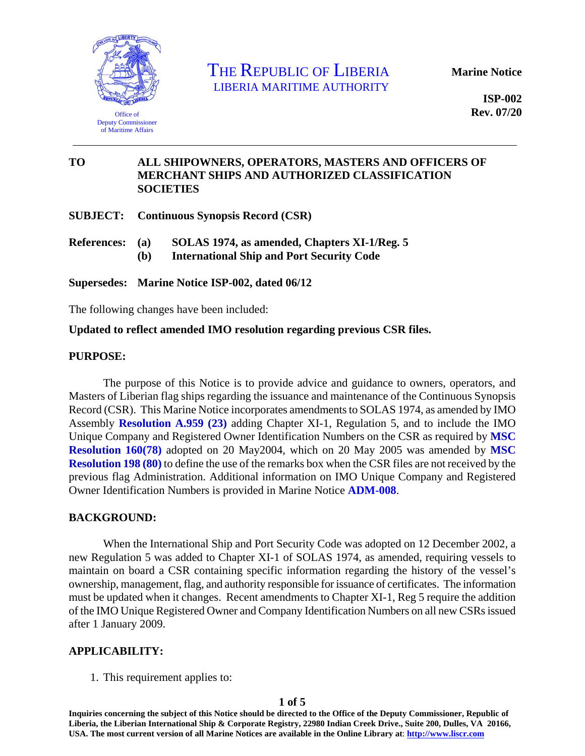

THE REPUBLIC OF LIBERIA LIBERIA MARITIME AUTHORITY

**Marine Notice** 

**ISP-002 Rev. 07/20** 

### **TO ALL SHIPOWNERS, OPERATORS, MASTERS AND OFFICERS OF MERCHANT SHIPS AND AUTHORIZED CLASSIFICATION SOCIETIES**

**SUBJECT: Continuous Synopsis Record (CSR)** 

- **References: (a) SOLAS 1974, as amended, Chapters XI-1/Reg. 5** 
	- **(b) International Ship and Port Security Code**

**Supersedes: Marine Notice ISP-002, dated 06/12** 

The following changes have been included:

### **Updated to reflect amended IMO resolution regarding previous CSR files.**

#### **PURPOSE:**

The purpose of this Notice is to provide advice and guidance to owners, operators, and Masters of Liberian flag ships regarding the issuance and maintenance of the Continuous Synopsis Record (CSR). This Marine Notice incorporates amendments to SOLAS 1974, as amended by IMO Assembly **[Resolution A.959 \(23\)](https://www.liscr.com/sites/default/files/liscr_imo_resolutions/Res.A.959%2823%29%20-%20Synopsis%20record%20%28CSR%29.pdf)** adding Chapter XI-1, Regulation 5, and to include the IMO Unique Company and Registered Owner Identification Numbers on the CSR as required by **[MSC](https://www.liscr.com/sites/default/files/liscr_imo_resolutions/Res%20MSC.160%2878%29%20-%20Adoption%20of%20the%20IMO%20Unique%20Company%20and%20Registered%20Owners%20Identification%20Number%20Scheme_0.pdf)  [Resolution 160\(78\)](https://www.liscr.com/sites/default/files/liscr_imo_resolutions/Res%20MSC.160%2878%29%20-%20Adoption%20of%20the%20IMO%20Unique%20Company%20and%20Registered%20Owners%20Identification%20Number%20Scheme_0.pdf)** adopted on 20 May2004, which on 20 May 2005 was amended by **[MSC](https://www.liscr.com/sites/default/files/liscr_imo_resolutions/Res%20MSC.198%2880%29%20-%20CSR%20Amendments.pdf)  [Resolution 198 \(80\)](https://www.liscr.com/sites/default/files/liscr_imo_resolutions/Res%20MSC.198%2880%29%20-%20CSR%20Amendments.pdf)** to define the use of the remarks box when the CSR files are not received by the previous flag Administration. Additional information on IMO Unique Company and Registered Owner Identification Numbers is provided in Marine Notice **[ADM-008](https://www.liscr.com/sites/default/files/online_library/ADM-008_Rev.06-12.pdf)**.

### **BACKGROUND:**

When the International Ship and Port Security Code was adopted on 12 December 2002, a new Regulation 5 was added to Chapter XI-1 of SOLAS 1974, as amended, requiring vessels to maintain on board a CSR containing specific information regarding the history of the vessel's ownership, management, flag, and authority responsible for issuance of certificates. The information must be updated when it changes. Recent amendments to Chapter XI-1, Reg 5 require the addition of the IMO Unique Registered Owner and Company Identification Numbers on all new CSRs issued after 1 January 2009.

### **APPLICABILITY:**

1. This requirement applies to:

**Inquiries concerning the subject of this Notice should be directed to the Office of the Deputy Commissioner, Republic of Liberia, the Liberian International Ship & Corporate Registry, 22980 Indian Creek Drive., Suite 200, Dulles, VA 20166, USA. The most current version of all Marine Notices are available in the Online Library at**: **http://www.liscr.com**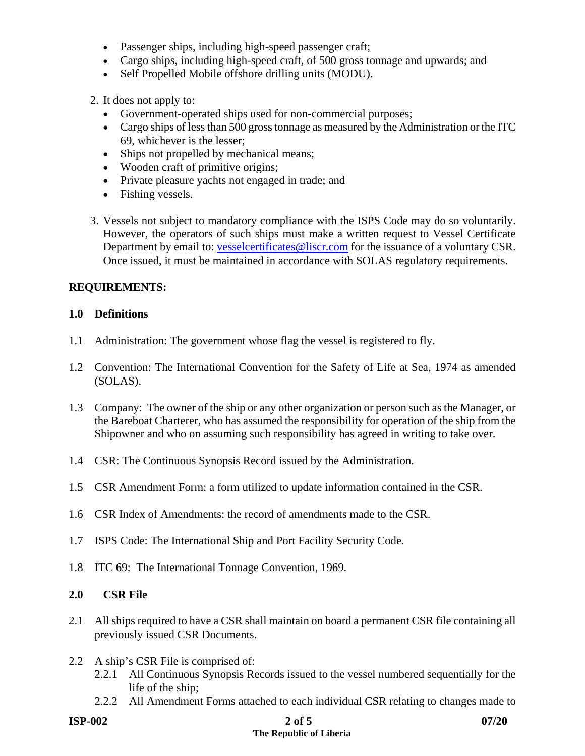- Passenger ships, including high-speed passenger craft;
- Cargo ships, including high-speed craft, of 500 gross tonnage and upwards; and
- Self Propelled Mobile offshore drilling units (MODU).

2. It does not apply to:

- Government-operated ships used for non-commercial purposes;
- Cargo ships of less than 500 gross tonnage as measured by the Administration or the ITC 69, whichever is the lesser;
- Ships not propelled by mechanical means;
- Wooden craft of primitive origins;
- Private pleasure yachts not engaged in trade; and
- Fishing vessels.
- 3. Vessels not subject to mandatory compliance with the ISPS Code may do so voluntarily. However, the operators of such ships must make a written request to Vessel Certificate Department by email to: vesselcertificates@liscr.com for the issuance of a voluntary CSR. Once issued, it must be maintained in accordance with SOLAS regulatory requirements.

# **REQUIREMENTS:**

### **1.0 Definitions**

- 1.1 Administration: The government whose flag the vessel is registered to fly.
- 1.2 Convention: The International Convention for the Safety of Life at Sea, 1974 as amended (SOLAS).
- 1.3 Company: The owner of the ship or any other organization or person such as the Manager, or the Bareboat Charterer, who has assumed the responsibility for operation of the ship from the Shipowner and who on assuming such responsibility has agreed in writing to take over.
- 1.4 CSR: The Continuous Synopsis Record issued by the Administration.
- 1.5 CSR Amendment Form: a form utilized to update information contained in the CSR.
- 1.6 CSR Index of Amendments: the record of amendments made to the CSR.
- 1.7 ISPS Code: The International Ship and Port Facility Security Code.
- 1.8 ITC 69: The International Tonnage Convention, 1969.

# **2.0 CSR File**

- 2.1 All ships required to have a CSR shall maintain on board a permanent CSR file containing all previously issued CSR Documents.
- 2.2 A ship's CSR File is comprised of:
	- 2.2.1 All Continuous Synopsis Records issued to the vessel numbered sequentially for the life of the ship;
	- 2.2.2 All Amendment Forms attached to each individual CSR relating to changes made to

#### **ISP-002** 2 of 5 07/20  **The Republic of Liberia**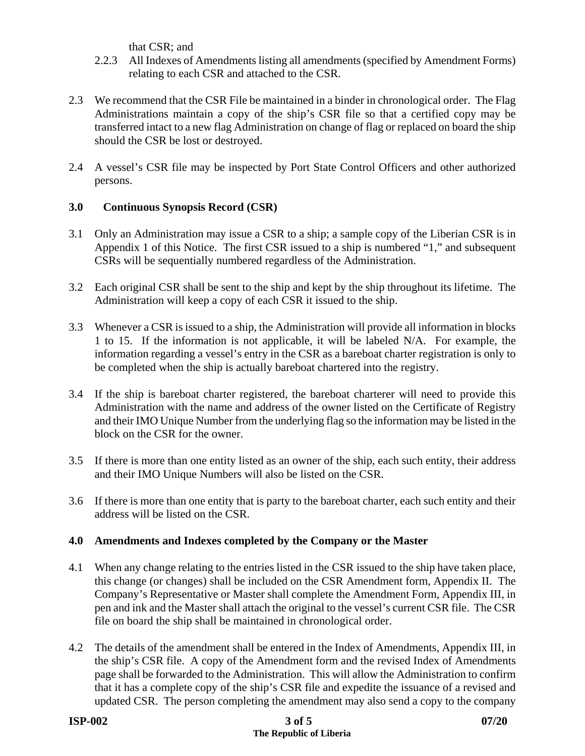that CSR; and

- 2.2.3 All Indexes of Amendments listing all amendments (specified by Amendment Forms) relating to each CSR and attached to the CSR.
- 2.3 We recommend that the CSR File be maintained in a binder in chronological order. The Flag Administrations maintain a copy of the ship's CSR file so that a certified copy may be transferred intact to a new flag Administration on change of flag or replaced on board the ship should the CSR be lost or destroyed.
- 2.4 A vessel's CSR file may be inspected by Port State Control Officers and other authorized persons.

# **3.0 Continuous Synopsis Record (CSR)**

- 3.1 Only an Administration may issue a CSR to a ship; a sample copy of the Liberian CSR is in Appendix 1 of this Notice. The first CSR issued to a ship is numbered "1," and subsequent CSRs will be sequentially numbered regardless of the Administration.
- 3.2 Each original CSR shall be sent to the ship and kept by the ship throughout its lifetime. The Administration will keep a copy of each CSR it issued to the ship.
- 3.3 Whenever a CSR is issued to a ship, the Administration will provide all information in blocks 1 to 15. If the information is not applicable, it will be labeled N/A. For example, the information regarding a vessel's entry in the CSR as a bareboat charter registration is only to be completed when the ship is actually bareboat chartered into the registry.
- 3.4 If the ship is bareboat charter registered, the bareboat charterer will need to provide this Administration with the name and address of the owner listed on the Certificate of Registry and their IMO Unique Number from the underlying flag so the information may be listed in the block on the CSR for the owner.
- 3.5 If there is more than one entity listed as an owner of the ship, each such entity, their address and their IMO Unique Numbers will also be listed on the CSR.
- 3.6 If there is more than one entity that is party to the bareboat charter, each such entity and their address will be listed on the CSR.

# **4.0 Amendments and Indexes completed by the Company or the Master**

- 4.1 When any change relating to the entries listed in the CSR issued to the ship have taken place, this change (or changes) shall be included on the CSR Amendment form, Appendix II. The Company's Representative or Master shall complete the Amendment Form, Appendix III, in pen and ink and the Master shall attach the original to the vessel's current CSR file. The CSR file on board the ship shall be maintained in chronological order.
- 4.2 The details of the amendment shall be entered in the Index of Amendments, Appendix III, in the ship's CSR file. A copy of the Amendment form and the revised Index of Amendments page shall be forwarded to the Administration. This will allow the Administration to confirm that it has a complete copy of the ship's CSR file and expedite the issuance of a revised and updated CSR. The person completing the amendment may also send a copy to the company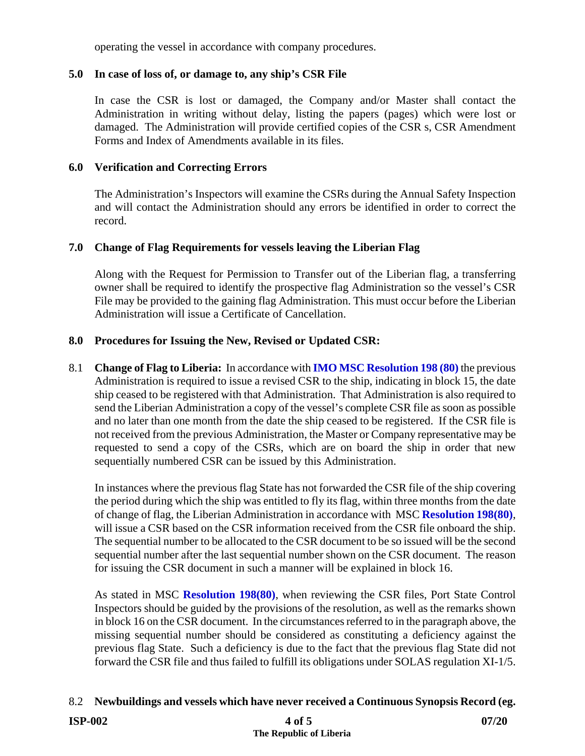operating the vessel in accordance with company procedures.

# **5.0 In case of loss of, or damage to, any ship's CSR File**

In case the CSR is lost or damaged, the Company and/or Master shall contact the Administration in writing without delay, listing the papers (pages) which were lost or damaged. The Administration will provide certified copies of the CSR s, CSR Amendment Forms and Index of Amendments available in its files.

# **6.0 Verification and Correcting Errors**

The Administration's Inspectors will examine the CSRs during the Annual Safety Inspection and will contact the Administration should any errors be identified in order to correct the record.

# **7.0 Change of Flag Requirements for vessels leaving the Liberian Flag**

Along with the Request for Permission to Transfer out of the Liberian flag, a transferring owner shall be required to identify the prospective flag Administration so the vessel's CSR File may be provided to the gaining flag Administration. This must occur before the Liberian Administration will issue a Certificate of Cancellation.

# **8.0 Procedures for Issuing the New, Revised or Updated CSR:**

8.1 **Change of Flag to Liberia:** In accordance with **[IMO MSC Resolution 198 \(80\)](https://www.liscr.com/sites/default/files/liscr_imo_resolutions/Res%20MSC.198%2880%29%20-%20CSR%20Amendments.pdf)** the previous Administration is required to issue a revised CSR to the ship, indicating in block 15, the date ship ceased to be registered with that Administration. That Administration is also required to send the Liberian Administration a copy of the vessel's complete CSR file as soon as possible and no later than one month from the date the ship ceased to be registered. If the CSR file is not received from the previous Administration, the Master or Company representative may be requested to send a copy of the CSRs, which are on board the ship in order that new sequentially numbered CSR can be issued by this Administration.

In instances where the previous flag State has not forwarded the CSR file of the ship covering the period during which the ship was entitled to fly its flag, within three months from the date of change of flag, the Liberian Administration in accordance with MSC **[Resolution 198\(80\)](https://www.liscr.com/sites/default/files/liscr_imo_resolutions/Res%20MSC.198%2880%29%20-%20CSR%20Amendments.pdf)**, will issue a CSR based on the CSR information received from the CSR file onboard the ship. The sequential number to be allocated to the CSR document to be so issued will be the second sequential number after the last sequential number shown on the CSR document. The reason for issuing the CSR document in such a manner will be explained in block 16.

As stated in MSC **[Resolution 198\(80\)](https://www.liscr.com/sites/default/files/liscr_imo_resolutions/Res%20MSC.198%2880%29%20-%20CSR%20Amendments.pdf)**, when reviewing the CSR files, Port State Control Inspectors should be guided by the provisions of the resolution, as well as the remarks shown in block 16 on the CSR document. In the circumstances referred to in the paragraph above, the missing sequential number should be considered as constituting a deficiency against the previous flag State. Such a deficiency is due to the fact that the previous flag State did not forward the CSR file and thus failed to fulfill its obligations under SOLAS regulation XI-1/5.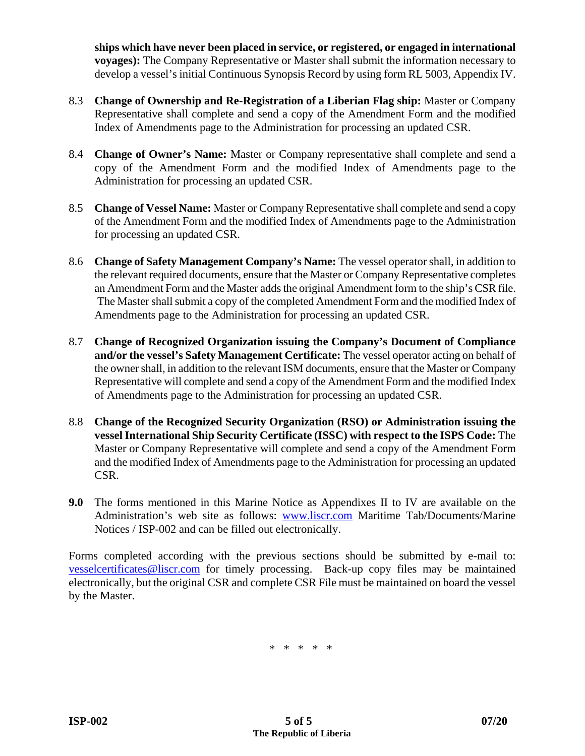**ships which have never been placed in service, or registered, or engaged in international voyages):** The Company Representative or Master shall submit the information necessary to develop a vessel's initial Continuous Synopsis Record by using form RL 5003, Appendix IV.

- 8.3 **Change of Ownership and Re-Registration of a Liberian Flag ship:** Master or Company Representative shall complete and send a copy of the Amendment Form and the modified Index of Amendments page to the Administration for processing an updated CSR.
- 8.4 **Change of Owner's Name:** Master or Company representative shall complete and send a copy of the Amendment Form and the modified Index of Amendments page to the Administration for processing an updated CSR.
- 8.5 **Change of Vessel Name:** Master or Company Representative shall complete and send a copy of the Amendment Form and the modified Index of Amendments page to the Administration for processing an updated CSR.
- 8.6 **Change of Safety Management Company's Name:** The vessel operator shall, in addition to the relevant required documents, ensure that the Master or Company Representative completes an Amendment Form and the Master adds the original Amendment form to the ship's CSR file. The Master shall submit a copy of the completed Amendment Form and the modified Index of Amendments page to the Administration for processing an updated CSR.
- 8.7 **Change of Recognized Organization issuing the Company's Document of Compliance and/or the vessel's Safety Management Certificate:** The vessel operator acting on behalf of the owner shall, in addition to the relevant ISM documents, ensure that the Master or Company Representative will complete and send a copy of the Amendment Form and the modified Index of Amendments page to the Administration for processing an updated CSR.
- 8.8 **Change of the Recognized Security Organization (RSO) or Administration issuing the vessel International Ship Security Certificate (ISSC) with respect to the ISPS Code:** The Master or Company Representative will complete and send a copy of the Amendment Form and the modified Index of Amendments page to the Administration for processing an updated CSR.
- **9.0** The forms mentioned in this Marine Notice as Appendixes II to IV are available on the Administration's web site as follows: www.liscr.com Maritime Tab/Documents/Marine Notices / ISP-002 and can be filled out electronically.

Forms completed according with the previous sections should be submitted by e-mail to: vesselcertificates@liscr.com for timely processing. Back-up copy files may be maintained electronically, but the original CSR and complete CSR File must be maintained on board the vessel by the Master.

\* \* \* \* \*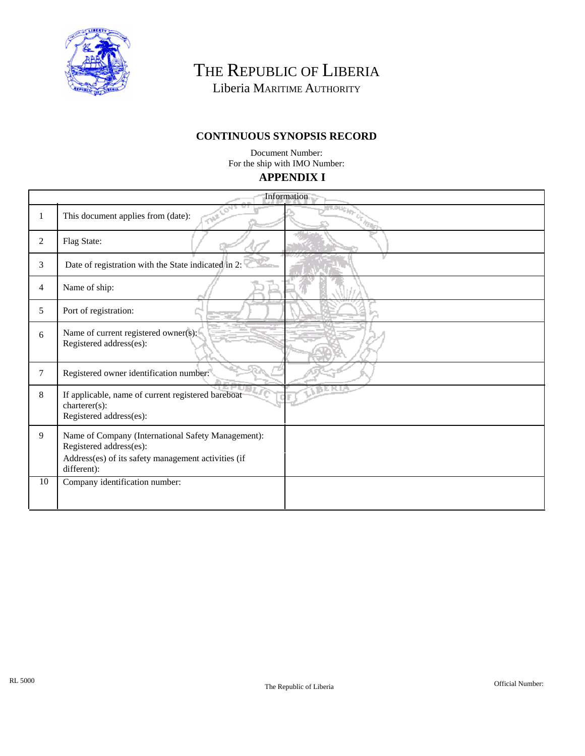

THE REPUBLIC OF LIBERIA

Liberia MARITIME AUTHORITY

# **CONTINUOUS SYNOPSIS RECORD**

**APPENDIX I**  Document Number: For the ship with IMO Number:

| <b>Information</b> |                                                                                                                                                     |   |
|--------------------|-----------------------------------------------------------------------------------------------------------------------------------------------------|---|
| 1                  | This document applies from (date):<br>海                                                                                                             | 価 |
| $\overline{2}$     | Flag State:                                                                                                                                         |   |
| 3                  | Date of registration with the State indicated in 2:                                                                                                 |   |
| $\overline{4}$     | Name of ship:                                                                                                                                       |   |
| $5\overline{)}$    | Port of registration:                                                                                                                               |   |
| 6                  | Name of current registered owner(s):<br>Registered address(es):                                                                                     |   |
| $\tau$             | Registered owner identification number:                                                                                                             |   |
| 8                  | If applicable, name of current registered bareboat<br>charterer(s):<br>Registered address(es):                                                      |   |
| 9                  | Name of Company (International Safety Management):<br>Registered address(es):<br>Address(es) of its safety management activities (if<br>different): |   |
| 10                 | Company identification number:                                                                                                                      |   |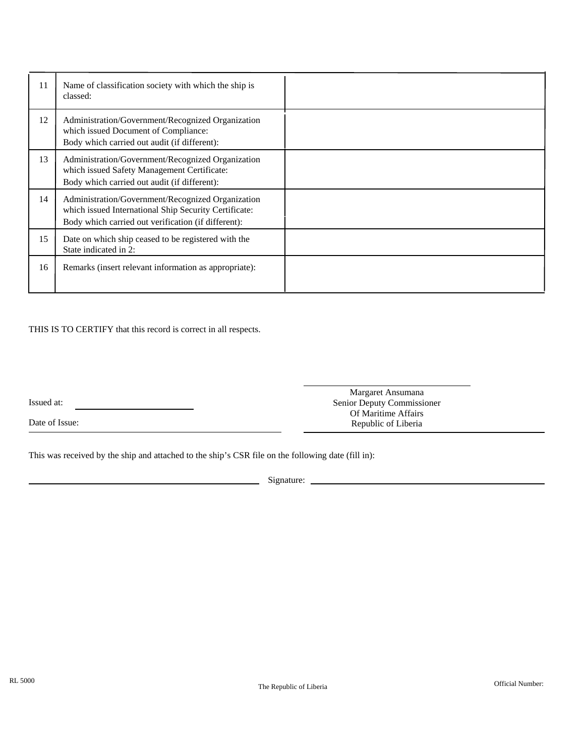| 11 | Name of classification society with which the ship is<br>classed:                                                                                                 |  |
|----|-------------------------------------------------------------------------------------------------------------------------------------------------------------------|--|
| 12 | Administration/Government/Recognized Organization<br>which issued Document of Compliance:<br>Body which carried out audit (if different):                         |  |
| 13 | Administration/Government/Recognized Organization<br>which issued Safety Management Certificate:<br>Body which carried out audit (if different):                  |  |
| 14 | Administration/Government/Recognized Organization<br>which issued International Ship Security Certificate:<br>Body which carried out verification (if different): |  |
| 15 | Date on which ship ceased to be registered with the<br>State indicated in 2:                                                                                      |  |
| 16 | Remarks (insert relevant information as appropriate):                                                                                                             |  |

THIS IS TO CERTIFY that this record is correct in all respects.

Issued at:

Date of Issue:

Margaret Ansumana Senior Deputy Commissioner Of Maritime Affairs Republic of Liberia

This was received by the ship and attached to the ship's CSR file on the following date (fill in):

Signature: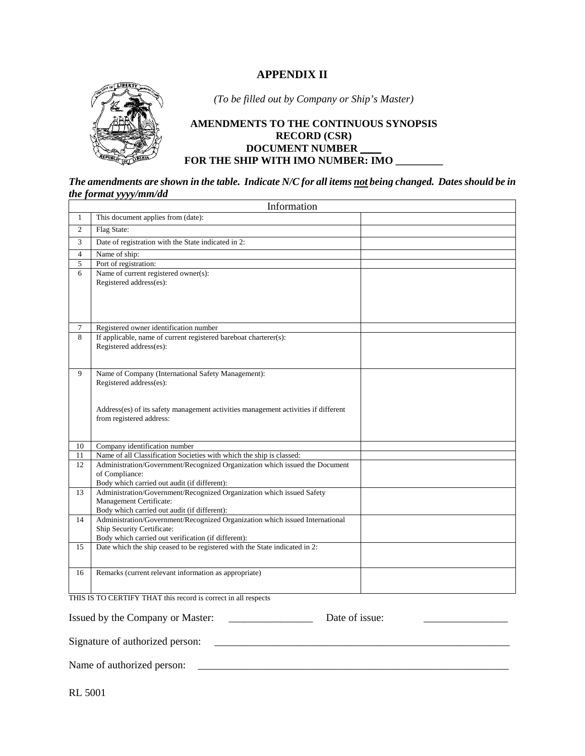### **APPENDIX II**



*(To be filled out by Company or Ship's Master)* 

#### **AMENDMENTS TO THE CONTINUOUS SYNOPSIS RECORD (CSR) DOCUMENT NUMBER \_\_\_\_ FOR THE SHIP WITH IMO NUMBER: IMO \_\_\_\_\_\_\_\_\_**

*The amendments are shown in the table. Indicate N/C for all items not being changed. Dates should be in the format yyyy/mm/dd* 

|                | Information                                                                                                           |  |  |
|----------------|-----------------------------------------------------------------------------------------------------------------------|--|--|
| $\mathbf{1}$   | This document applies from (date):                                                                                    |  |  |
| $\overline{2}$ | Flag State:                                                                                                           |  |  |
| $\overline{3}$ | Date of registration with the State indicated in 2:                                                                   |  |  |
| $\overline{4}$ | Name of ship:                                                                                                         |  |  |
| 5              | Port of registration:                                                                                                 |  |  |
| 6              | Name of current registered owner(s):                                                                                  |  |  |
|                | Registered address(es):                                                                                               |  |  |
|                |                                                                                                                       |  |  |
|                |                                                                                                                       |  |  |
|                |                                                                                                                       |  |  |
| $\tau$         | Registered owner identification number                                                                                |  |  |
| 8              | If applicable, name of current registered bareboat charterer(s):                                                      |  |  |
|                | Registered address(es):                                                                                               |  |  |
|                |                                                                                                                       |  |  |
| 9              | Name of Company (International Safety Management):                                                                    |  |  |
|                | Registered address(es):                                                                                               |  |  |
|                |                                                                                                                       |  |  |
|                |                                                                                                                       |  |  |
|                | Address(es) of its safety management activities management activities if different                                    |  |  |
|                | from registered address:                                                                                              |  |  |
|                |                                                                                                                       |  |  |
| 10             | Company identification number                                                                                         |  |  |
| 11             | Name of all Classification Societies with which the ship is classed:                                                  |  |  |
| 12             | Administration/Government/Recognized Organization which issued the Document                                           |  |  |
|                | of Compliance:                                                                                                        |  |  |
| 13             | Body which carried out audit (if different):<br>Administration/Government/Recognized Organization which issued Safety |  |  |
|                | Management Certificate:                                                                                               |  |  |
|                | Body which carried out audit (if different):                                                                          |  |  |
| 14             | Administration/Government/Recognized Organization which issued International                                          |  |  |
|                | Ship Security Certificate:                                                                                            |  |  |
|                | Body which carried out verification (if different):                                                                   |  |  |
| 15             | Date which the ship ceased to be registered with the State indicated in 2:                                            |  |  |
|                |                                                                                                                       |  |  |
| 16             | Remarks (current relevant information as appropriate)                                                                 |  |  |
|                |                                                                                                                       |  |  |
|                | THE IS TO CEDTIEV THAT this meand is compating all memories                                                           |  |  |

THIS IS TO CERTIFY THAT this record is correct in all respects

Issued by the Company or Master: \_\_\_\_\_\_\_\_\_\_\_\_\_\_\_\_ Date of issue: \_\_\_\_\_\_\_\_\_\_\_\_\_\_\_\_ Signature of authorized person: \_\_\_\_\_\_\_\_\_\_\_\_\_\_\_\_\_\_\_\_\_\_\_\_\_\_\_\_\_\_\_\_\_\_\_\_\_\_\_\_\_\_\_\_\_\_\_\_\_\_\_\_\_\_\_\_ Name of authorized person: \_\_\_\_\_\_\_\_\_\_\_\_\_\_\_\_\_\_\_\_\_\_\_\_\_\_\_\_\_\_\_\_\_\_\_\_\_\_\_\_\_\_\_\_\_\_\_\_\_\_\_\_\_\_\_\_\_\_\_

RL 5001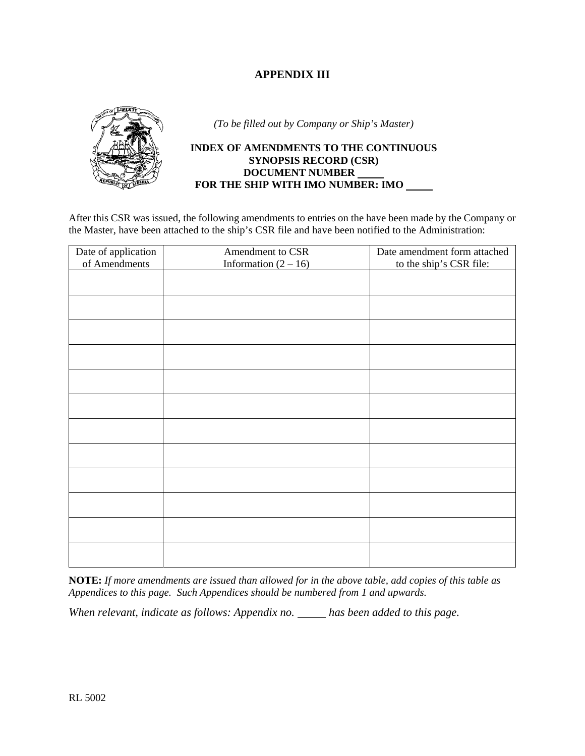### **APPENDIX III**



*(To be filled out by Company or Ship's Master)* 

#### **INDEX OF AMENDMENTS TO THE CONTINUOUS SYNOPSIS RECORD (CSR) DOCUMENT NUMBER FOR THE SHIP WITH IMO NUMBER: IMO**

After this CSR was issued, the following amendments to entries on the have been made by the Company or the Master, have been attached to the ship's CSR file and have been notified to the Administration:

| Date of application | Amendment to CSR       | Date amendment form attached |
|---------------------|------------------------|------------------------------|
| of Amendments       | Information $(2 - 16)$ | to the ship's CSR file:      |
|                     |                        |                              |
|                     |                        |                              |
|                     |                        |                              |
|                     |                        |                              |
|                     |                        |                              |
|                     |                        |                              |
|                     |                        |                              |
|                     |                        |                              |
|                     |                        |                              |
|                     |                        |                              |
|                     |                        |                              |
|                     |                        |                              |
|                     |                        |                              |
|                     |                        |                              |
|                     |                        |                              |
|                     |                        |                              |
|                     |                        |                              |
|                     |                        |                              |
|                     |                        |                              |
|                     |                        |                              |
|                     |                        |                              |
|                     |                        |                              |
|                     |                        |                              |
|                     |                        |                              |

**NOTE:** *If more amendments are issued than allowed for in the above table, add copies of this table as Appendices to this page. Such Appendices should be numbered from 1 and upwards.* 

*When relevant, indicate as follows: Appendix no. has been added to this page.*